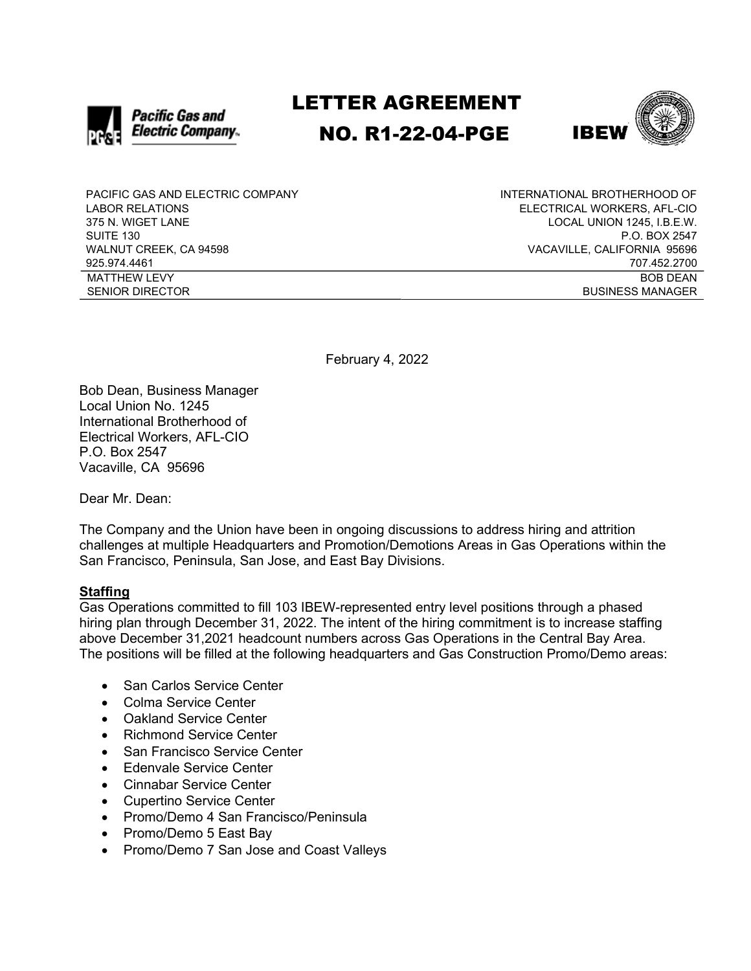

# LETTER AGREEMENT NO. R1-22-04-PGE



PACIFIC GAS AND ELECTRIC COMPANY LABOR RELATIONS 375 N. WIGET LANE SUITE 130 WALNUT CREEK, CA 94598 925.974.4461 MATTHEW LEVY SENIOR DIRECTOR

INTERNATIONAL BROTHERHOOD OF ELECTRICAL WORKERS, AFL-CIO LOCAL UNION 1245, I.B.E.W. P.O. BOX 2547 VACAVILLE, CALIFORNIA 95696 707.452.2700 BOB DEAN BUSINESS MANAGER

February 4, 2022

Bob Dean, Business Manager Local Union No. 1245 International Brotherhood of Electrical Workers, AFL-CIO P.O. Box 2547 Vacaville, CA 95696

Dear Mr. Dean:

The Company and the Union have been in ongoing discussions to address hiring and attrition challenges at multiple Headquarters and Promotion/Demotions Areas in Gas Operations within the San Francisco, Peninsula, San Jose, and East Bay Divisions.

## Staffing

Gas Operations committed to fill 103 IBEW-represented entry level positions through a phased hiring plan through December 31, 2022. The intent of the hiring commitment is to increase staffing above December 31,2021 headcount numbers across Gas Operations in the Central Bay Area. The positions will be filled at the following headquarters and Gas Construction Promo/Demo areas:

- San Carlos Service Center
- Colma Service Center
- Oakland Service Center
- Richmond Service Center
- San Francisco Service Center
- **Edenvale Service Center**
- Cinnabar Service Center
- Cupertino Service Center
- Promo/Demo 4 San Francisco/Peninsula
- Promo/Demo 5 East Bay
- Promo/Demo 7 San Jose and Coast Valleys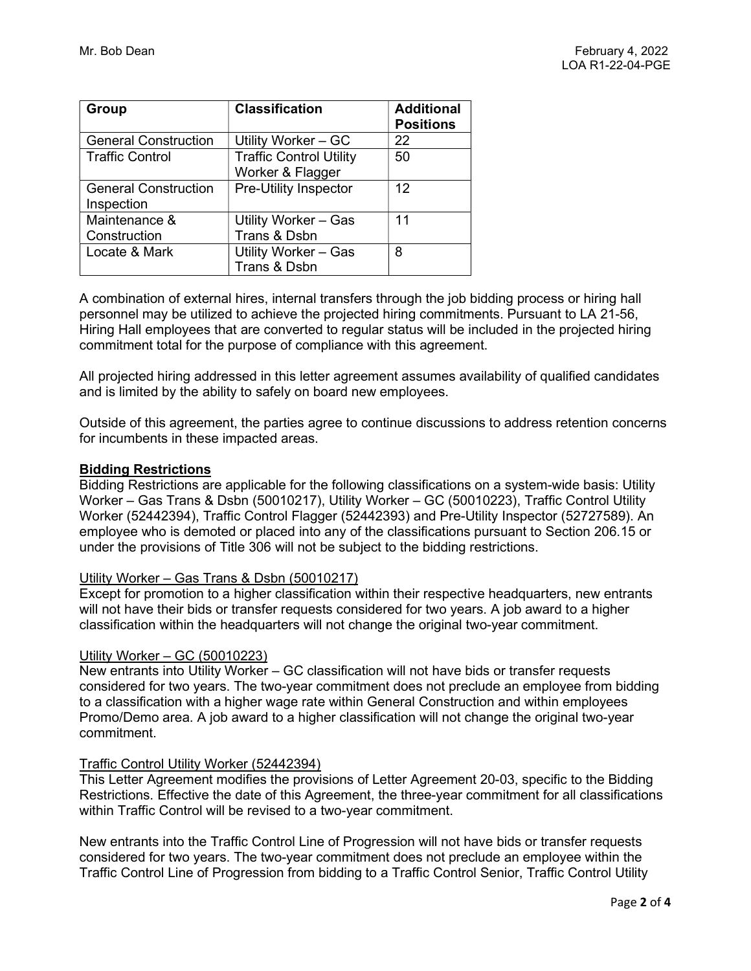| Group                                     | <b>Classification</b>                              | <b>Additional</b><br><b>Positions</b> |
|-------------------------------------------|----------------------------------------------------|---------------------------------------|
| <b>General Construction</b>               | Utility Worker - GC                                | 22                                    |
| <b>Traffic Control</b>                    | <b>Traffic Control Utility</b><br>Worker & Flagger | 50                                    |
| <b>General Construction</b><br>Inspection | <b>Pre-Utility Inspector</b>                       | 12                                    |
| Maintenance &<br>Construction             | Utility Worker - Gas<br>Trans & Dsbn               | 11                                    |
| Locate & Mark                             | Utility Worker - Gas<br>Trans & Dsbn               | 8                                     |

A combination of external hires, internal transfers through the job bidding process or hiring hall personnel may be utilized to achieve the projected hiring commitments. Pursuant to LA 21-56, Hiring Hall employees that are converted to regular status will be included in the projected hiring commitment total for the purpose of compliance with this agreement.

All projected hiring addressed in this letter agreement assumes availability of qualified candidates and is limited by the ability to safely on board new employees.

Outside of this agreement, the parties agree to continue discussions to address retention concerns for incumbents in these impacted areas.

#### Bidding Restrictions

Bidding Restrictions are applicable for the following classifications on a system-wide basis: Utility Worker – Gas Trans & Dsbn (50010217), Utility Worker – GC (50010223), Traffic Control Utility Worker (52442394), Traffic Control Flagger (52442393) and Pre-Utility Inspector (52727589). An employee who is demoted or placed into any of the classifications pursuant to Section 206.15 or under the provisions of Title 306 will not be subject to the bidding restrictions.

#### Utility Worker – Gas Trans & Dsbn (50010217)

Except for promotion to a higher classification within their respective headquarters, new entrants will not have their bids or transfer requests considered for two years. A job award to a higher classification within the headquarters will not change the original two-year commitment.

#### Utility Worker – GC (50010223)

New entrants into Utility Worker – GC classification will not have bids or transfer requests considered for two years. The two-year commitment does not preclude an employee from bidding to a classification with a higher wage rate within General Construction and within employees Promo/Demo area. A job award to a higher classification will not change the original two-year commitment.

#### Traffic Control Utility Worker (52442394)

This Letter Agreement modifies the provisions of Letter Agreement 20-03, specific to the Bidding Restrictions. Effective the date of this Agreement, the three-year commitment for all classifications within Traffic Control will be revised to a two-year commitment.

New entrants into the Traffic Control Line of Progression will not have bids or transfer requests considered for two years. The two-year commitment does not preclude an employee within the Traffic Control Line of Progression from bidding to a Traffic Control Senior, Traffic Control Utility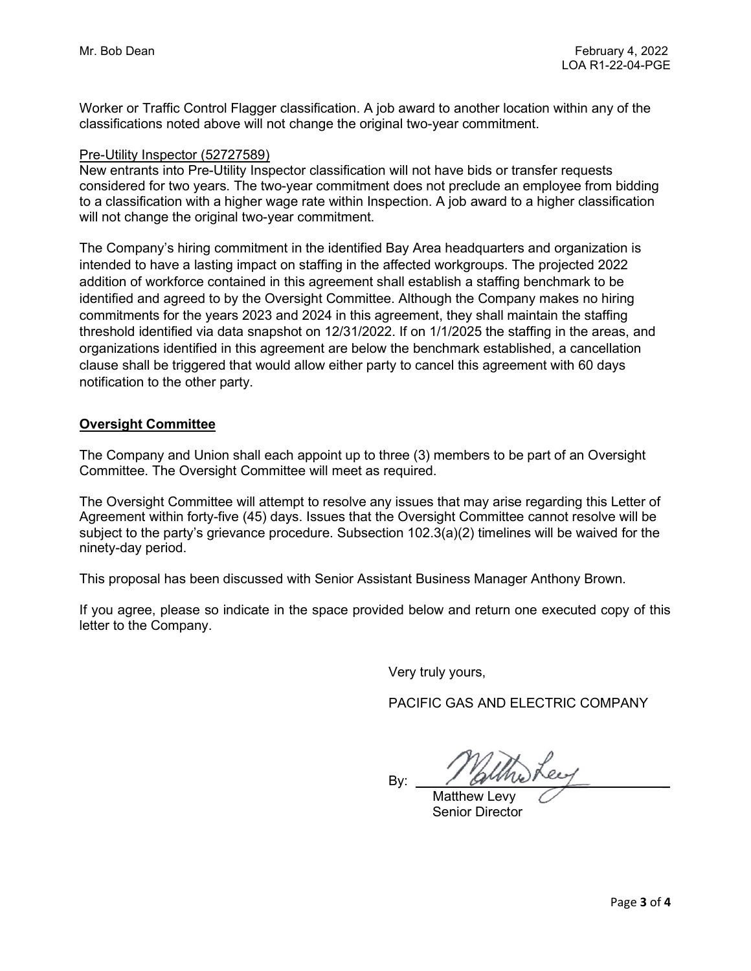Worker or Traffic Control Flagger classification. A job award to another location within any of the classifications noted above will not change the original two-year commitment.

#### Pre-Utility Inspector (52727589)

New entrants into Pre-Utility Inspector classification will not have bids or transfer requests considered for two years. The two-year commitment does not preclude an employee from bidding to a classification with a higher wage rate within Inspection. A job award to a higher classification will not change the original two-year commitment.

The Company's hiring commitment in the identified Bay Area headquarters and organization is intended to have a lasting impact on staffing in the affected workgroups. The projected 2022 addition of workforce contained in this agreement shall establish a staffing benchmark to be identified and agreed to by the Oversight Committee. Although the Company makes no hiring commitments for the years 2023 and 2024 in this agreement, they shall maintain the staffing threshold identified via data snapshot on 12/31/2022. If on 1/1/2025 the staffing in the areas, and organizations identified in this agreement are below the benchmark established, a cancellation clause shall be triggered that would allow either party to cancel this agreement with 60 days notification to the other party.

### Oversight Committee

The Company and Union shall each appoint up to three (3) members to be part of an Oversight Committee. The Oversight Committee will meet as required.

The Oversight Committee will attempt to resolve any issues that may arise regarding this Letter of Agreement within forty-five (45) days. Issues that the Oversight Committee cannot resolve will be subject to the party's grievance procedure. Subsection 102.3(a)(2) timelines will be waived for the ninety-day period.

This proposal has been discussed with Senior Assistant Business Manager Anthony Brown.

If you agree, please so indicate in the space provided below and return one executed copy of this letter to the Company.

Very truly yours,

PACIFIC GAS AND ELECTRIC COMPANY

By:  $\mu$ 

Matthew Levy Senior Director